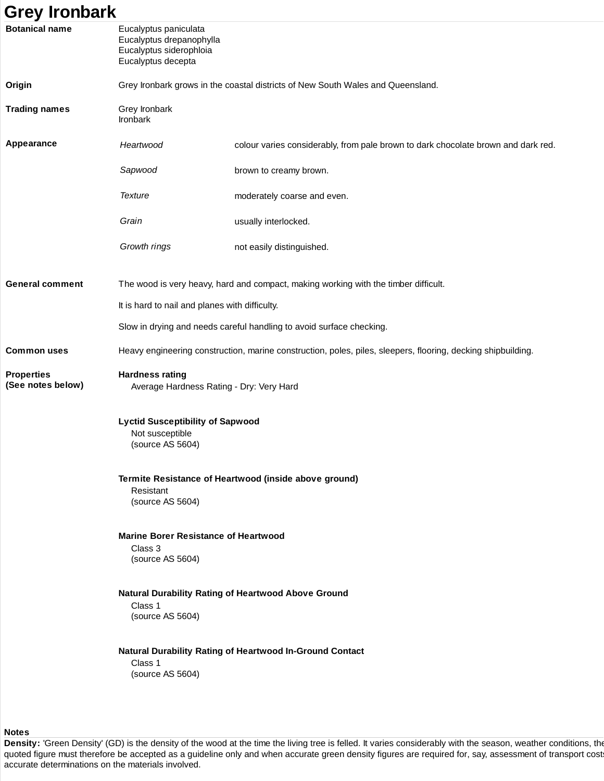## **Grey Ironbark Botanical name** Eucalyptus paniculata Eucalyptus drepanophylla Eucalyptus siderophloia Eucalyptus decepta **Origin** Grey Ironbark grows in the coastal districts of New South Wales and Queensland. **Trading names Grey Ironbark** Ironbark **Appearance** Heartwood colour varies considerably, from pale brown to dark chocolate brown and dark red. Sapwood brown to creamy brown. Texture moderately coarse and even. Grain **usually** interlocked. Growth rings not easily distinguished. **General comment** The wood is very heavy, hard and compact, making working with the timber difficult. It is hard to nail and planes with difficulty. Slow in drying and needs careful handling to avoid surface checking. **Common uses** Heavy engineering construction, marine construction, poles, piles, sleepers, flooring, decking shipbuilding. **Properties (See notes below) Hardness rating** Average Hardness Rating - Dry: Very Hard **Lyctid Susceptibility of Sapwood** Not susceptible (source AS 5604) **Termite Resistance of Heartwood (inside above ground)** Resistant (source AS 5604) **Marine Borer Resistance of Heartwood** Class 3 (source AS 5604) **Natural Durability Rating of Heartwood Above Ground** Class 1 (source AS 5604) **Natural Durability Rating of Heartwood In-Ground Contact** Class 1 (source AS 5604)

**Notes**

Density: 'Green Density' (GD) is the density of the wood at the time the living tree is felled. It varies considerably with the season, weather conditions, the quoted figure must therefore be accepted as a guideline only and when accurate green density figures are required for, say, assessment of transport cost accurate determinations on the materials involved.